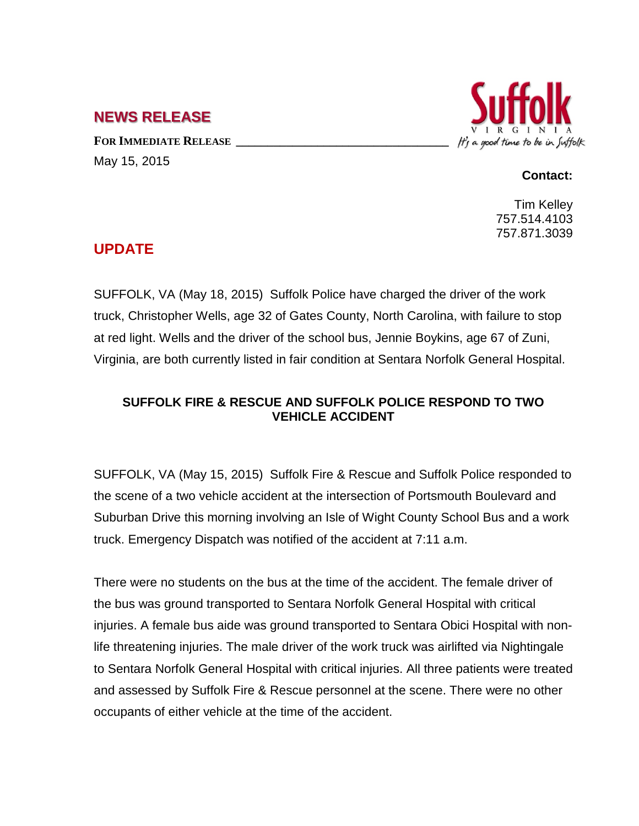## **NEWS RELEASE**

FOR **IMMEDIATE RELEASE** May 15, 2015



## **Contact:**

Tim Kelley 757.514.4103 757.871.3039

## **UPDATE**

SUFFOLK, VA (May 18, 2015) Suffolk Police have charged the driver of the work truck, Christopher Wells, age 32 of Gates County, North Carolina, with failure to stop at red light. Wells and the driver of the school bus, Jennie Boykins, age 67 of Zuni, Virginia, are both currently listed in fair condition at Sentara Norfolk General Hospital.

## **SUFFOLK FIRE & RESCUE AND SUFFOLK POLICE RESPOND TO TWO VEHICLE ACCIDENT**

SUFFOLK, VA (May 15, 2015) Suffolk Fire & Rescue and Suffolk Police responded to the scene of a two vehicle accident at the intersection of Portsmouth Boulevard and Suburban Drive this morning involving an Isle of Wight County School Bus and a work truck. Emergency Dispatch was notified of the accident at 7:11 a.m.

There were no students on the bus at the time of the accident. The female driver of the bus was ground transported to Sentara Norfolk General Hospital with critical injuries. A female bus aide was ground transported to Sentara Obici Hospital with nonlife threatening injuries. The male driver of the work truck was airlifted via Nightingale to Sentara Norfolk General Hospital with critical injuries. All three patients were treated and assessed by Suffolk Fire & Rescue personnel at the scene. There were no other occupants of either vehicle at the time of the accident.